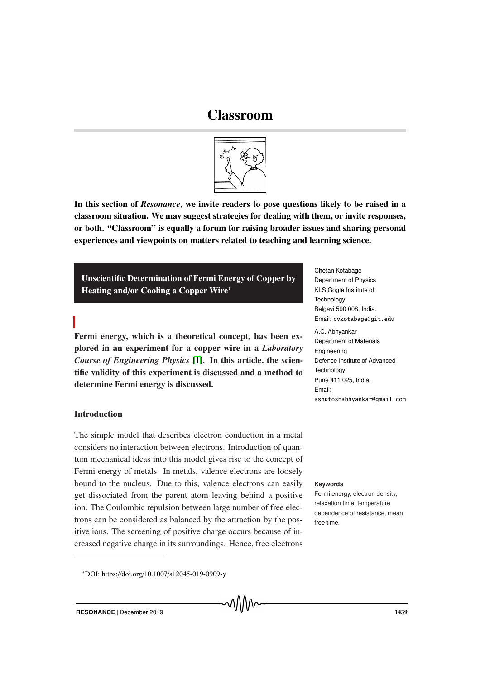# Classroom



In this section of *Resonance*, we invite readers to pose questions likely to be raised in a classroom situation. We may suggest strategies for dealing with them, or invite responses, or both. "Classroom" is equally a forum for raising broader issues and sharing personal experiences and viewpoints on matters related to teaching and learning science.

Unscientific Determination of Fermi Energy of Copper by Heating and/or Cooling a Copper Wire<sup>∗</sup>

Fermi energy, which is a theoretical concept, has been explored in an experiment for a copper wire in a *Laboratory Course of Engineering Physics* [1]. In this article, the scientific validity of this experiment is discussed and a method to determine Fermi energy is discussed.

# **Introduction**

The simple model that describes electron conduction in a metal considers no interaction between electrons. Introduction of quantum mechanical ideas into this model gives rise to the concept of Fermi energy of metals. In metals, valence electrons are loosely bound to the nucleus. Due to this, valence electrons can easily **Keywords** get dissociated from the parent atom leaving behind a positive ion. The Coulombic repulsion between large number of free electrons can be considered as balanced by the attraction by the positive ions. The screening of positive charge occurs because of increased negative charge in its surroundings. Hence, free electrons

Chetan Kotabage Department of Physics KLS Gogte Institute of **Technology** Belgavi 590 008, India. Email: cvkotabage@git.edu

A.C. Abhyankar Department of Materials Engineering Defence Institute of Advanced **Technology** Pune 411 025, India. Email: ashutoshabhyankar@gmail.com

Fermi energy, electron density, relaxation time, temperature dependence of resistance, mean free time.

<sup>∗</sup>DOI: https://doi.org/10.1007/s12045-019-0909-y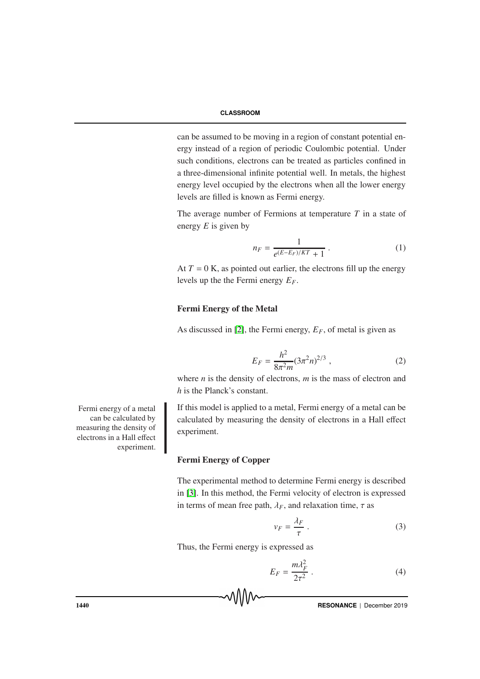can be assumed to be moving in a region of constant potential energy instead of a region of periodic Coulombic potential. Under such conditions, electrons can be treated as particles confined in a three-dimensional infinite potential well. In metals, the highest energy level occupied by the electrons when all the lower energy levels are filled is known as Fermi energy.

The average number of Fermions at temperature *T* in a state of energy *E* is given by

$$
n_F = \frac{1}{e^{(E - E_F)/KT} + 1} \,. \tag{1}
$$

At  $T = 0$  K, as pointed out earlier, the electrons fill up the energy levels up the the Fermi energy *EF*.

### Fermi Energy of the Metal

As discussed in [2], the Fermi energy,  $E_F$ , of metal is given as

$$
E_F = \frac{h^2}{8\pi^2 m} (3\pi^2 n)^{2/3} , \qquad (2)
$$

where *n* is the density of electrons, *m* is the mass of electron and *h* is the Planck's constant.

If this model is applied to a metal, Fermi energy of a metal can be calculated by measuring the density of electrons in a Hall effect experiment.

# Fermi Energy of Copper

The experimental method to determine Fermi energy is described in [3]. In this method, the Fermi velocity of electron is expressed in terms of mean free path,  $\lambda_F$ , and relaxation time,  $\tau$  as

$$
v_F = \frac{\lambda_F}{\tau} \,. \tag{3}
$$

Thus, the Fermi energy is expressed as

$$
E_F = \frac{m\lambda_F^2}{2\tau^2} \ . \tag{4}
$$

Fermi energy of a metal can be calculated by measuring the density of electrons in a Hall effect experiment.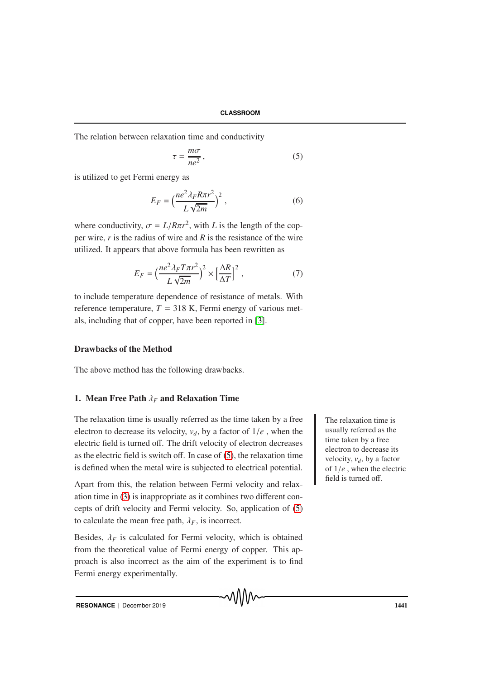The relation between relaxation time and conductivity

$$
\tau = \frac{m\sigma}{ne^2},\tag{5}
$$

is utilized to get Fermi energy as

$$
E_F = \left(\frac{ne^2\lambda_F R\pi r^2}{L\sqrt{2m}}\right)^2,\tag{6}
$$

where conductivity,  $\sigma = L/R\pi r^2$ , with *L* is the length of the copper wire, *r* is the radius of wire and *R* is the resistance of the wire utilized. It appears that above formula has been rewritten as

$$
E_F = \left(\frac{ne^2\lambda_F T\pi r^2}{L\sqrt{2m}}\right)^2 \times \left[\frac{\Delta R}{\Delta T}\right]^2, \tag{7}
$$

to include temperature dependence of resistance of metals. With reference temperature,  $T = 318$  K, Fermi energy of various metals, including that of copper, have been reported in [3].

# Drawbacks of the Method

The above method has the following drawbacks.

#### 1. Mean Free Path λ*<sup>F</sup>* and Relaxation Time

The relaxation time is usually referred as the time taken by a free  $\blacksquare$  The relaxation time is electron to decrease its velocity,  $v_d$ , by a factor of  $1/e$ , when the electric field is turned off. The drift velocity of electron decreases as the electric field is switch off. In case of (5), the relaxation time is defined when the metal wire is subjected to electrical potential.

Apart from this, the relation between Fermi velocity and relaxation time in (3) is inappropriate as it combines two different concepts of drift velocity and Fermi velocity. So, application of (5) to calculate the mean free path,  $\lambda_F$ , is incorrect.

Besides,  $\lambda_F$  is calculated for Fermi velocity, which is obtained from the theoretical value of Fermi energy of copper. This approach is also incorrect as the aim of the experiment is to find Fermi energy experimentally.

usually referred as the time taken by a free electron to decrease its velocity,  $v_d$ , by a factor of 1/*e* , when the electric field is turned off.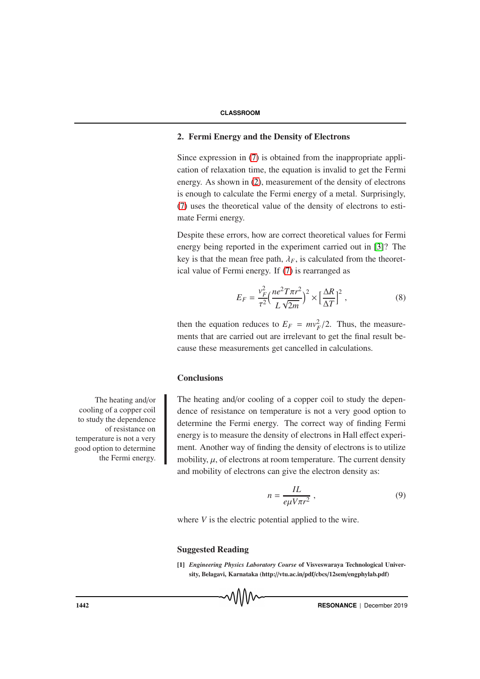# 2. Fermi Energy and the Density of Electrons

Since expression in (7) is obtained from the inappropriate application of relaxation time, the equation is invalid to get the Fermi energy. As shown in (2), measurement of the density of electrons is enough to calculate the Fermi energy of a metal. Surprisingly, (7) uses the theoretical value of the density of electrons to estimate Fermi energy.

Despite these errors, how are correct theoretical values for Fermi energy being reported in the experiment carried out in [3]? The key is that the mean free path,  $\lambda_F$ , is calculated from the theoretical value of Fermi energy. If (7) is rearranged as

$$
E_F = \frac{v_F^2}{\tau^2} \left(\frac{ne^2 T\pi r^2}{L\sqrt{2m}}\right)^2 \times \left[\frac{\Delta R}{\Delta T}\right]^2,
$$
 (8)

then the equation reduces to  $E_F = mv_F^2/2$ . Thus, the measurements that are carried out are irrelevant to get the final result because these measurements get cancelled in calculations.

### **Conclusions**

The heating and/or cooling of a copper coil to study the dependence of resistance on temperature is not a very good option to determine the Fermi energy. The correct way of finding Fermi energy is to measure the density of electrons in Hall effect experiment. Another way of finding the density of electrons is to utilize mobility,  $\mu$ , of electrons at room temperature. The current density and mobility of electrons can give the electron density as:

$$
n = \frac{IL}{e\mu V\pi r^2} \,,\tag{9}
$$

where *V* is the electric potential applied to the wire.

### Suggested Reading

[1] *Engineering Physics Laboratory Course* of Visveswaraya Technological University, Belagavi, Karnataka (http://vtu.ac.in/pdf/cbcs/12sem/engphylab.pdf)

The heating and/or cooling of a copper coil to study the dependence of resistance on temperature is not a very good option to determine the Fermi energy.